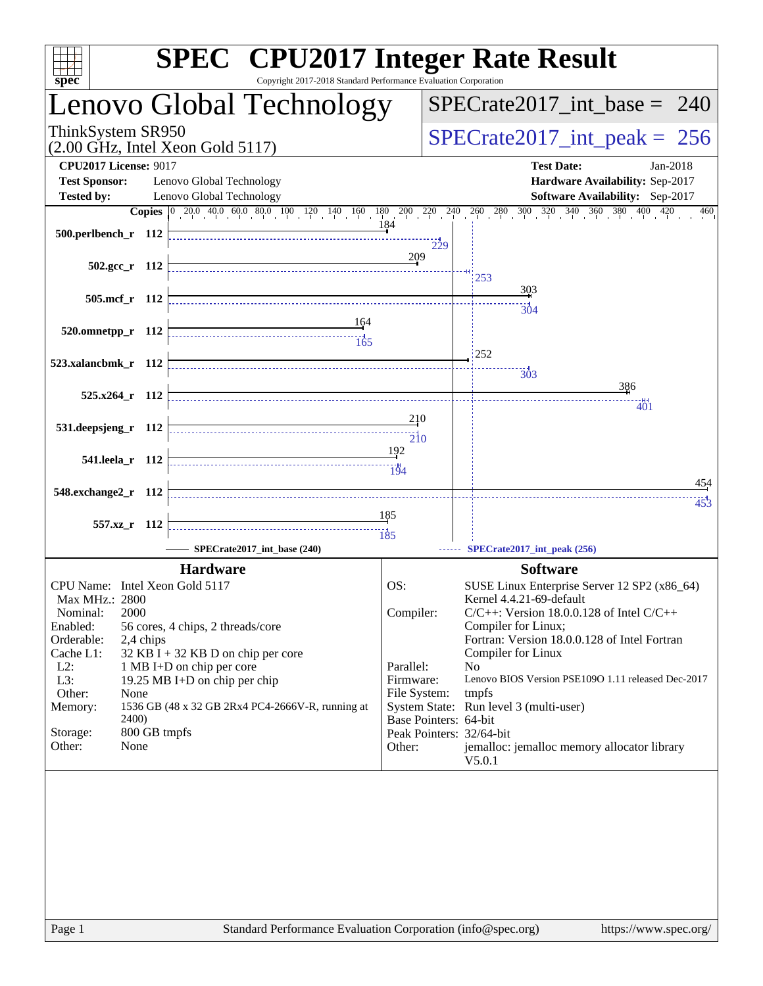| spec <sup>®</sup>                                                                                                                                                                                           | <b>SPEC<sup>®</sup></b> CPU2017 Integer Rate Result<br>Copyright 2017-2018 Standard Performance Evaluation Corporation                                                                                       |                                                                                     |                                                                                                                                                                                                                                                                                                                                                                   |
|-------------------------------------------------------------------------------------------------------------------------------------------------------------------------------------------------------------|--------------------------------------------------------------------------------------------------------------------------------------------------------------------------------------------------------------|-------------------------------------------------------------------------------------|-------------------------------------------------------------------------------------------------------------------------------------------------------------------------------------------------------------------------------------------------------------------------------------------------------------------------------------------------------------------|
|                                                                                                                                                                                                             | Lenovo Global Technology                                                                                                                                                                                     |                                                                                     | $SPECrate2017\_int\_base = 240$                                                                                                                                                                                                                                                                                                                                   |
| ThinkSystem SR950<br>$(2.00$ GHz, Intel Xeon Gold 5117)                                                                                                                                                     |                                                                                                                                                                                                              |                                                                                     | $SPECrate2017\_int\_peak = 256$                                                                                                                                                                                                                                                                                                                                   |
| <b>CPU2017 License: 9017</b><br><b>Test Sponsor:</b><br><b>Tested by:</b>                                                                                                                                   | Lenovo Global Technology<br>Lenovo Global Technology                                                                                                                                                         |                                                                                     | <b>Test Date:</b><br>Jan-2018<br>Hardware Availability: Sep-2017<br><b>Software Availability:</b> Sep-2017                                                                                                                                                                                                                                                        |
| 500.perlbench_r 112                                                                                                                                                                                         |                                                                                                                                                                                                              | 184                                                                                 | <b>Copies</b> $\begin{bmatrix} 0 & 20 & 0 & 40 & 0 & 60 & 80 & 100 & 120 & 140 & 160 & 180 & 200 & 220 & 240 & 260 & 280 & 300 & 320 & 340 & 360 & 380 & 400 & 420 \end{bmatrix}$<br>460                                                                                                                                                                          |
| $502.\text{gcc}_r$ 112                                                                                                                                                                                      |                                                                                                                                                                                                              | $\frac{1}{229}$<br>209                                                              | 253                                                                                                                                                                                                                                                                                                                                                               |
| 505.mcf_r 112                                                                                                                                                                                               |                                                                                                                                                                                                              |                                                                                     | 303<br><br>304                                                                                                                                                                                                                                                                                                                                                    |
| 520.omnetpp_r 112                                                                                                                                                                                           | 164<br>$\begin{array}{c c c c c} \hline \text{} & \text{} & \text{} \\ \hline \text{} & \text{} & \text{} \\ \hline \text{} & \text{} & \text{} \\ \hline \text{} & \text{} & \text{} \\ \hline \end{array}$ |                                                                                     | 252                                                                                                                                                                                                                                                                                                                                                               |
| 523.xalancbmk_r 112<br>$525.x264$ r 112                                                                                                                                                                     |                                                                                                                                                                                                              |                                                                                     | 303<br>386                                                                                                                                                                                                                                                                                                                                                        |
| 531.deepsjeng_r 112                                                                                                                                                                                         |                                                                                                                                                                                                              | <u>2</u> 10                                                                         | 401                                                                                                                                                                                                                                                                                                                                                               |
| 541.leela_r 112                                                                                                                                                                                             |                                                                                                                                                                                                              | 192<br>194                                                                          |                                                                                                                                                                                                                                                                                                                                                                   |
| 548.exchange2_r 112                                                                                                                                                                                         |                                                                                                                                                                                                              |                                                                                     | 454<br>453                                                                                                                                                                                                                                                                                                                                                        |
| 557.xz_r 112                                                                                                                                                                                                |                                                                                                                                                                                                              | 185                                                                                 |                                                                                                                                                                                                                                                                                                                                                                   |
|                                                                                                                                                                                                             | SPECrate2017_int_base (240)<br><b>Hardware</b>                                                                                                                                                               |                                                                                     | SPECrate2017_int_peak (256)<br><b>Software</b>                                                                                                                                                                                                                                                                                                                    |
| CPU Name: Intel Xeon Gold 5117<br>Max MHz.: 2800<br>2000<br>Nominal:<br>Enabled:<br>Orderable:<br>2,4 chips<br>Cache L1:<br>$L2$ :<br>L3:<br>Other:<br>None<br>Memory:<br>2400)<br>800 GB tmpfs<br>Storage: | 56 cores, 4 chips, 2 threads/core<br>$32$ KB I + 32 KB D on chip per core<br>1 MB I+D on chip per core<br>19.25 MB I+D on chip per chip<br>1536 GB (48 x 32 GB 2Rx4 PC4-2666V-R, running at                  | OS:<br>Compiler:<br>Parallel:<br>Firmware:<br>File System:<br>Base Pointers: 64-bit | SUSE Linux Enterprise Server 12 SP2 (x86_64)<br>Kernel 4.4.21-69-default<br>$C/C++$ : Version 18.0.0.128 of Intel $C/C++$<br>Compiler for Linux;<br>Fortran: Version 18.0.0.128 of Intel Fortran<br>Compiler for Linux<br>No<br>Lenovo BIOS Version PSE109O 1.11 released Dec-2017<br>tmpfs<br>System State: Run level 3 (multi-user)<br>Peak Pointers: 32/64-bit |
| Other:<br>None                                                                                                                                                                                              |                                                                                                                                                                                                              | Other:                                                                              | jemalloc: jemalloc memory allocator library<br>V5.0.1                                                                                                                                                                                                                                                                                                             |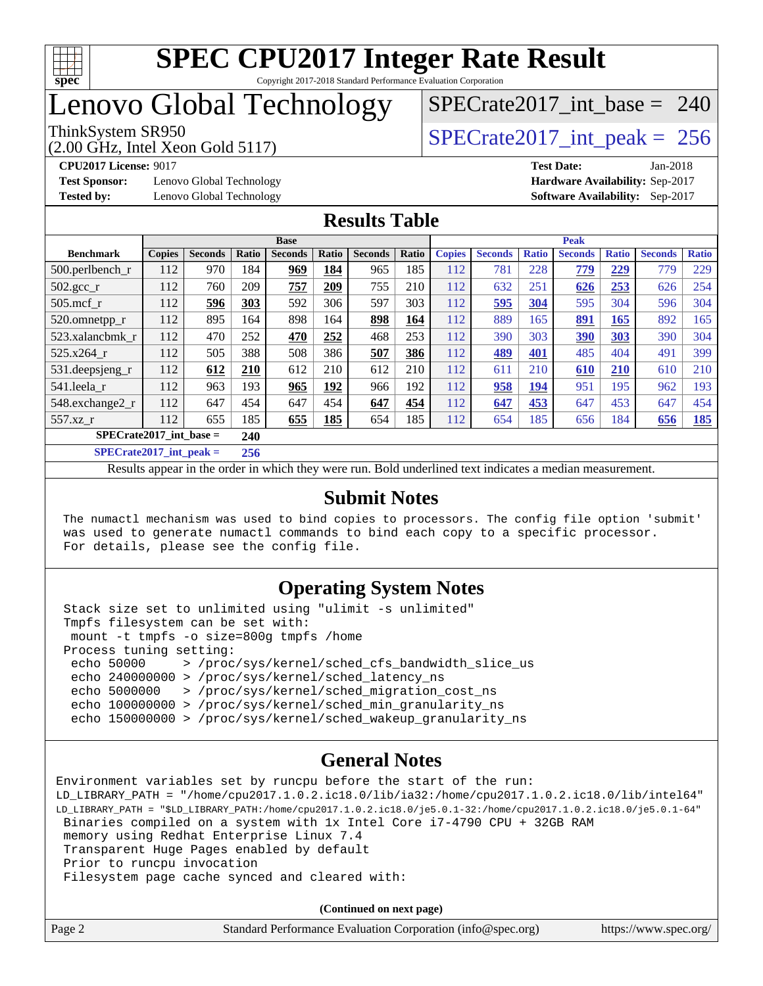

#### **[SPEC CPU2017 Integer Rate Result](http://www.spec.org/auto/cpu2017/Docs/result-fields.html#SPECCPU2017IntegerRateResult)** Copyright 2017-2018 Standard Performance Evaluation Corporation

## Lenovo Global Technology

# [SPECrate2017\\_int\\_base =](http://www.spec.org/auto/cpu2017/Docs/result-fields.html#SPECrate2017intbase) 240

(2.00 GHz, Intel Xeon Gold 5117)

**[Test Sponsor:](http://www.spec.org/auto/cpu2017/Docs/result-fields.html#TestSponsor)** Lenovo Global Technology **[Hardware Availability:](http://www.spec.org/auto/cpu2017/Docs/result-fields.html#HardwareAvailability)** Sep-2017

ThinkSystem SR950<br>  $\angle Q$  00 GHz, Intel Year Gold 5117

**[CPU2017 License:](http://www.spec.org/auto/cpu2017/Docs/result-fields.html#CPU2017License)** 9017 **[Test Date:](http://www.spec.org/auto/cpu2017/Docs/result-fields.html#TestDate)** Jan-2018 **[Tested by:](http://www.spec.org/auto/cpu2017/Docs/result-fields.html#Testedby)** Lenovo Global Technology **[Software Availability:](http://www.spec.org/auto/cpu2017/Docs/result-fields.html#SoftwareAvailability)** Sep-2017

#### **[Results Table](http://www.spec.org/auto/cpu2017/Docs/result-fields.html#ResultsTable)**

| <b>Base</b>               |               |                |               | <b>Peak</b>    |            |                |       |               |                |              |                |              |                |              |
|---------------------------|---------------|----------------|---------------|----------------|------------|----------------|-------|---------------|----------------|--------------|----------------|--------------|----------------|--------------|
| <b>Benchmark</b>          | <b>Copies</b> | <b>Seconds</b> | Ratio         | <b>Seconds</b> | Ratio      | <b>Seconds</b> | Ratio | <b>Copies</b> | <b>Seconds</b> | <b>Ratio</b> | <b>Seconds</b> | <b>Ratio</b> | <b>Seconds</b> | <b>Ratio</b> |
| $500.$ perlbench_r        | 112           | 970            | 184           | 969            | 184        | 965            | 185   | 112           | 781            | 228          | 779            | 229          | 779            | 229          |
| $502.\text{gcc}$ _r       | 112           | 760            | 209           | 757            | 209        | 755            | 210   | 112           | 632            | 251          | 626            | 253          | 626            | 254          |
| $505$ .mcf r              | 112           | 596            | 303           | 592            | 306        | 597            | 303   | 112           | 595            | 304          | 595            | 304          | 596            | 304          |
| 520.omnetpp_r             | 112           | 895            | 164           | 898            | 164        | 898            | 164   | 112           | 889            | 165          | <u>891</u>     | 165          | 892            | 165          |
| 523.xalancbmk r           | 112           | 470            | 252           | 470            | 252        | 468            | 253   | 112           | 390            | 303          | 390            | 303          | 390            | 304          |
| 525.x264 r                | 112           | 505            | 388           | 508            | 386        | 507            | 386   | 112           | 489            | 401          | 485            | 404          | 491            | 399          |
| 531.deepsjeng_r           | 112           | 612            | 210           | 612            | 210        | 612            | 210   | 112           | 611            | 210          | 610            | 210          | 610            | 210          |
| 541.leela_r               | 112           | 963            | 193           | 965            | <u>192</u> | 966            | 192   | 112           | 958            | 194          | 951            | 195          | 962            | 193          |
| 548.exchange2_r           | 112           | 647            | 454           | 647            | 454        | 647            | 454   | 112           | 647            | 453          | 647            | 453          | 647            | 454          |
| 557.xz r                  | 112           | 655            | 185           | 655            | 185        | 654            | 185   | 112           | 654            | 185          | 656            | 184          | 656            | 185          |
| $SPECrate2017$ int base = |               |                | 240           |                |            |                |       |               |                |              |                |              |                |              |
|                           |               |                | $\sim$ $\sim$ |                |            |                |       |               |                |              |                |              |                |              |

**[SPECrate2017\\_int\\_peak =](http://www.spec.org/auto/cpu2017/Docs/result-fields.html#SPECrate2017intpeak) 256**

Results appear in the [order in which they were run](http://www.spec.org/auto/cpu2017/Docs/result-fields.html#RunOrder). Bold underlined text [indicates a median measurement](http://www.spec.org/auto/cpu2017/Docs/result-fields.html#Median).

#### **[Submit Notes](http://www.spec.org/auto/cpu2017/Docs/result-fields.html#SubmitNotes)**

 The numactl mechanism was used to bind copies to processors. The config file option 'submit' was used to generate numactl commands to bind each copy to a specific processor. For details, please see the config file.

#### **[Operating System Notes](http://www.spec.org/auto/cpu2017/Docs/result-fields.html#OperatingSystemNotes)**

 Stack size set to unlimited using "ulimit -s unlimited" Tmpfs filesystem can be set with: mount -t tmpfs -o size=800g tmpfs /home Process tuning setting: echo 50000 > /proc/sys/kernel/sched\_cfs\_bandwidth\_slice\_us echo 240000000 > /proc/sys/kernel/sched\_latency\_ns echo 5000000 > /proc/sys/kernel/sched\_migration\_cost\_ns echo 100000000 > /proc/sys/kernel/sched\_min\_granularity\_ns echo 150000000 > /proc/sys/kernel/sched\_wakeup\_granularity\_ns

#### **[General Notes](http://www.spec.org/auto/cpu2017/Docs/result-fields.html#GeneralNotes)**

Environment variables set by runcpu before the start of the run: LD\_LIBRARY\_PATH = "/home/cpu2017.1.0.2.ic18.0/lib/ia32:/home/cpu2017.1.0.2.ic18.0/lib/intel64" LD\_LIBRARY\_PATH = "\$LD\_LIBRARY\_PATH:/home/cpu2017.1.0.2.ic18.0/je5.0.1-32:/home/cpu2017.1.0.2.ic18.0/je5.0.1-64" Binaries compiled on a system with 1x Intel Core i7-4790 CPU + 32GB RAM memory using Redhat Enterprise Linux 7.4 Transparent Huge Pages enabled by default Prior to runcpu invocation Filesystem page cache synced and cleared with:

**(Continued on next page)**

| Page 2<br>Standard Performance Evaluation Corporation (info@spec.org) | https://www.spec.org/ |
|-----------------------------------------------------------------------|-----------------------|
|-----------------------------------------------------------------------|-----------------------|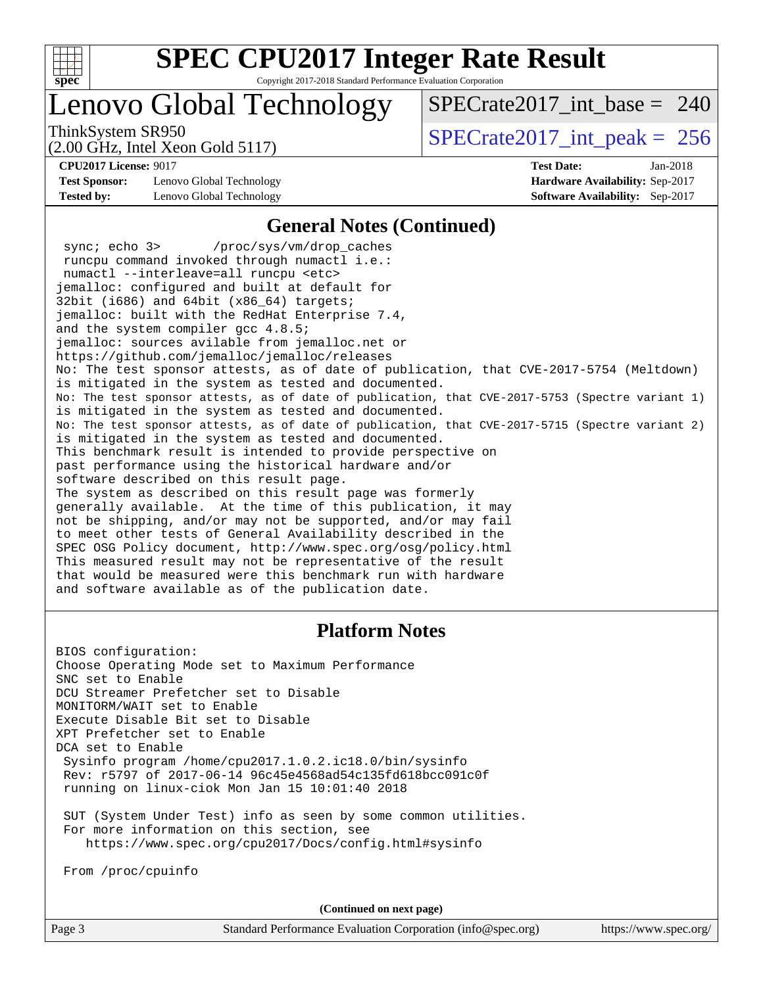

Copyright 2017-2018 Standard Performance Evaluation Corporation

### Lenovo Global Technology

 $SPECrate2017\_int\_base = 240$ 

(2.00 GHz, Intel Xeon Gold 5117)

ThinkSystem SR950<br>  $\angle Q$  00 GHz, Intel Year Gold 5117

**[Test Sponsor:](http://www.spec.org/auto/cpu2017/Docs/result-fields.html#TestSponsor)** Lenovo Global Technology **[Hardware Availability:](http://www.spec.org/auto/cpu2017/Docs/result-fields.html#HardwareAvailability)** Sep-2017 **[Tested by:](http://www.spec.org/auto/cpu2017/Docs/result-fields.html#Testedby)** Lenovo Global Technology **[Software Availability:](http://www.spec.org/auto/cpu2017/Docs/result-fields.html#SoftwareAvailability)** Sep-2017

**[CPU2017 License:](http://www.spec.org/auto/cpu2017/Docs/result-fields.html#CPU2017License)** 9017 **[Test Date:](http://www.spec.org/auto/cpu2017/Docs/result-fields.html#TestDate)** Jan-2018

#### **[General Notes \(Continued\)](http://www.spec.org/auto/cpu2017/Docs/result-fields.html#GeneralNotes)**

 sync; echo 3> /proc/sys/vm/drop\_caches runcpu command invoked through numactl i.e.: numactl --interleave=all runcpu <etc> jemalloc: configured and built at default for 32bit (i686) and 64bit (x86\_64) targets; jemalloc: built with the RedHat Enterprise 7.4, and the system compiler gcc 4.8.5; jemalloc: sources avilable from jemalloc.net or <https://github.com/jemalloc/jemalloc/releases> No: The test sponsor attests, as of date of publication, that CVE-2017-5754 (Meltdown) is mitigated in the system as tested and documented. No: The test sponsor attests, as of date of publication, that CVE-2017-5753 (Spectre variant 1) is mitigated in the system as tested and documented. No: The test sponsor attests, as of date of publication, that CVE-2017-5715 (Spectre variant 2) is mitigated in the system as tested and documented. This benchmark result is intended to provide perspective on past performance using the historical hardware and/or software described on this result page. The system as described on this result page was formerly generally available. At the time of this publication, it may not be shipping, and/or may not be supported, and/or may fail to meet other tests of General Availability described in the SPEC OSG Policy document, <http://www.spec.org/osg/policy.html> This measured result may not be representative of the result that would be measured were this benchmark run with hardware and software available as of the publication date.

#### **[Platform Notes](http://www.spec.org/auto/cpu2017/Docs/result-fields.html#PlatformNotes)**

BIOS configuration: Choose Operating Mode set to Maximum Performance SNC set to Enable DCU Streamer Prefetcher set to Disable MONITORM/WAIT set to Enable Execute Disable Bit set to Disable XPT Prefetcher set to Enable DCA set to Enable Sysinfo program /home/cpu2017.1.0.2.ic18.0/bin/sysinfo Rev: r5797 of 2017-06-14 96c45e4568ad54c135fd618bcc091c0f running on linux-ciok Mon Jan 15 10:01:40 2018

 SUT (System Under Test) info as seen by some common utilities. For more information on this section, see <https://www.spec.org/cpu2017/Docs/config.html#sysinfo>

From /proc/cpuinfo

**(Continued on next page)**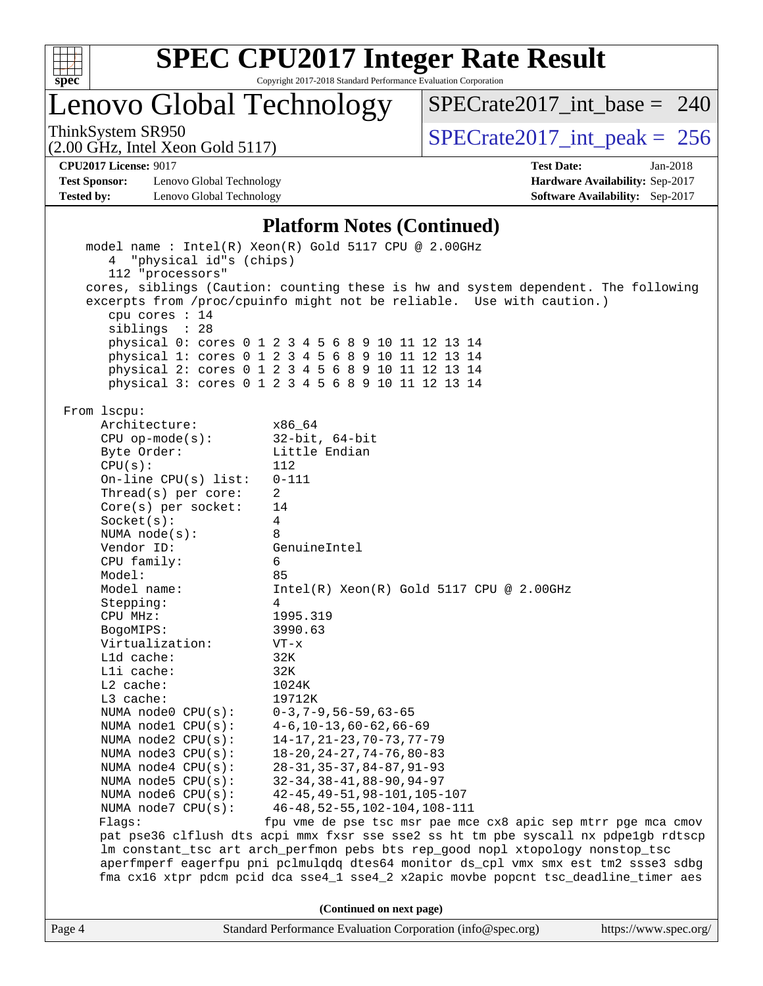

Copyright 2017-2018 Standard Performance Evaluation Corporation

Lenovo Global Technology

ThinkSystem SR950<br>  $(2.00 \text{ GHz})$  Intel Xeon Gold 5117)

[SPECrate2017\\_int\\_base =](http://www.spec.org/auto/cpu2017/Docs/result-fields.html#SPECrate2017intbase) 240

(2.00 GHz, Intel Xeon Gold 5117) **[CPU2017 License:](http://www.spec.org/auto/cpu2017/Docs/result-fields.html#CPU2017License)** 9017 **[Test Date:](http://www.spec.org/auto/cpu2017/Docs/result-fields.html#TestDate)** Jan-2018

**[Test Sponsor:](http://www.spec.org/auto/cpu2017/Docs/result-fields.html#TestSponsor)** Lenovo Global Technology **[Hardware Availability:](http://www.spec.org/auto/cpu2017/Docs/result-fields.html#HardwareAvailability)** Sep-2017 **[Tested by:](http://www.spec.org/auto/cpu2017/Docs/result-fields.html#Testedby)** Lenovo Global Technology **[Software Availability:](http://www.spec.org/auto/cpu2017/Docs/result-fields.html#SoftwareAvailability)** Sep-2017

#### **[Platform Notes \(Continued\)](http://www.spec.org/auto/cpu2017/Docs/result-fields.html#PlatformNotes)**

| 4 "physical id"s (chips)<br>112 "processors"   | model name : Intel(R) Xeon(R) Gold 5117 CPU @ 2.00GHz                                                                                                                      |                       |  |  |  |  |  |
|------------------------------------------------|----------------------------------------------------------------------------------------------------------------------------------------------------------------------------|-----------------------|--|--|--|--|--|
| cpu cores $: 14$<br>siblings : 28              | cores, siblings (Caution: counting these is hw and system dependent. The following<br>excerpts from /proc/cpuinfo might not be reliable. Use with caution.)                |                       |  |  |  |  |  |
|                                                | physical 0: cores 0 1 2 3 4 5 6 8 9 10 11 12 13 14                                                                                                                         |                       |  |  |  |  |  |
|                                                | physical 1: cores 0 1 2 3 4 5 6 8 9 10 11 12 13 14                                                                                                                         |                       |  |  |  |  |  |
|                                                | physical 2: cores 0 1 2 3 4 5 6 8 9 10 11 12 13 14                                                                                                                         |                       |  |  |  |  |  |
|                                                | physical 3: cores 0 1 2 3 4 5 6 8 9 10 11 12 13 14                                                                                                                         |                       |  |  |  |  |  |
| From 1scpu:<br>Architecture:                   | x86_64                                                                                                                                                                     |                       |  |  |  |  |  |
| $CPU$ op-mode(s):                              | $32$ -bit, $64$ -bit                                                                                                                                                       |                       |  |  |  |  |  |
| Byte Order:                                    | Little Endian                                                                                                                                                              |                       |  |  |  |  |  |
| CPU(s):<br>112                                 |                                                                                                                                                                            |                       |  |  |  |  |  |
| On-line $CPU(s)$ list:<br>$0 - 111$            |                                                                                                                                                                            |                       |  |  |  |  |  |
| Thread( $s$ ) per core:<br>$\overline{2}$      |                                                                                                                                                                            |                       |  |  |  |  |  |
| $Core(s)$ per socket:<br>Socket(s):            | 14<br>4                                                                                                                                                                    |                       |  |  |  |  |  |
| NUMA node(s):                                  | 8                                                                                                                                                                          |                       |  |  |  |  |  |
| Vendor ID:                                     | GenuineIntel                                                                                                                                                               |                       |  |  |  |  |  |
| CPU family:                                    | 6                                                                                                                                                                          |                       |  |  |  |  |  |
| Model:                                         | 85                                                                                                                                                                         |                       |  |  |  |  |  |
| Model name:                                    | $Intel(R) Xeon(R) Gold 5117 CPU @ 2.00GHz$                                                                                                                                 |                       |  |  |  |  |  |
| Stepping:                                      | 4                                                                                                                                                                          |                       |  |  |  |  |  |
| CPU MHz:                                       | 1995.319                                                                                                                                                                   |                       |  |  |  |  |  |
| BogoMIPS:                                      | 3990.63                                                                                                                                                                    |                       |  |  |  |  |  |
| Virtualization:                                | $VT - x$                                                                                                                                                                   |                       |  |  |  |  |  |
| L1d cache:                                     | 32K                                                                                                                                                                        |                       |  |  |  |  |  |
| Lli cache:                                     | 32K                                                                                                                                                                        |                       |  |  |  |  |  |
| L2 cache:                                      | 1024K                                                                                                                                                                      |                       |  |  |  |  |  |
| L3 cache:                                      | 19712K                                                                                                                                                                     |                       |  |  |  |  |  |
| NUMA $node0$ $CPU(s):$                         | $0-3, 7-9, 56-59, 63-65$                                                                                                                                                   |                       |  |  |  |  |  |
| NUMA nodel CPU(s):                             | $4-6, 10-13, 60-62, 66-69$                                                                                                                                                 |                       |  |  |  |  |  |
| NUMA node2 CPU(s):<br>NUMA $node3$ CPU $(s)$ : | $14 - 17, 21 - 23, 70 - 73, 77 - 79$<br>$18 - 20$ , $24 - 27$ , $74 - 76$ , $80 - 83$                                                                                      |                       |  |  |  |  |  |
| NUMA $node4$ $CPU(s):$                         | $28 - 31, 35 - 37, 84 - 87, 91 - 93$                                                                                                                                       |                       |  |  |  |  |  |
| NUMA $node5$ $CPU(s):$                         | $32 - 34, 38 - 41, 88 - 90, 94 - 97$                                                                                                                                       |                       |  |  |  |  |  |
| NUMA node6 CPU(s):                             | 42-45, 49-51, 98-101, 105-107                                                                                                                                              |                       |  |  |  |  |  |
| NUMA $node7$ CPU $(s)$ :                       | 46-48, 52-55, 102-104, 108-111                                                                                                                                             |                       |  |  |  |  |  |
| Flags:                                         | fpu vme de pse tsc msr pae mce cx8 apic sep mtrr pge mca cmov                                                                                                              |                       |  |  |  |  |  |
|                                                | pat pse36 clflush dts acpi mmx fxsr sse sse2 ss ht tm pbe syscall nx pdpelgb rdtscp<br>lm constant_tsc art arch_perfmon pebs bts rep_good nopl xtopology nonstop_tsc       |                       |  |  |  |  |  |
|                                                | aperfmperf eagerfpu pni pclmulqdq dtes64 monitor ds_cpl vmx smx est tm2 ssse3 sdbg<br>fma cx16 xtpr pdcm pcid dca sse4_1 sse4_2 x2apic movbe popcnt tsc_deadline_timer aes |                       |  |  |  |  |  |
|                                                |                                                                                                                                                                            |                       |  |  |  |  |  |
|                                                | (Continued on next page)                                                                                                                                                   |                       |  |  |  |  |  |
| Page 4                                         | Standard Performance Evaluation Corporation (info@spec.org)                                                                                                                | https://www.spec.org/ |  |  |  |  |  |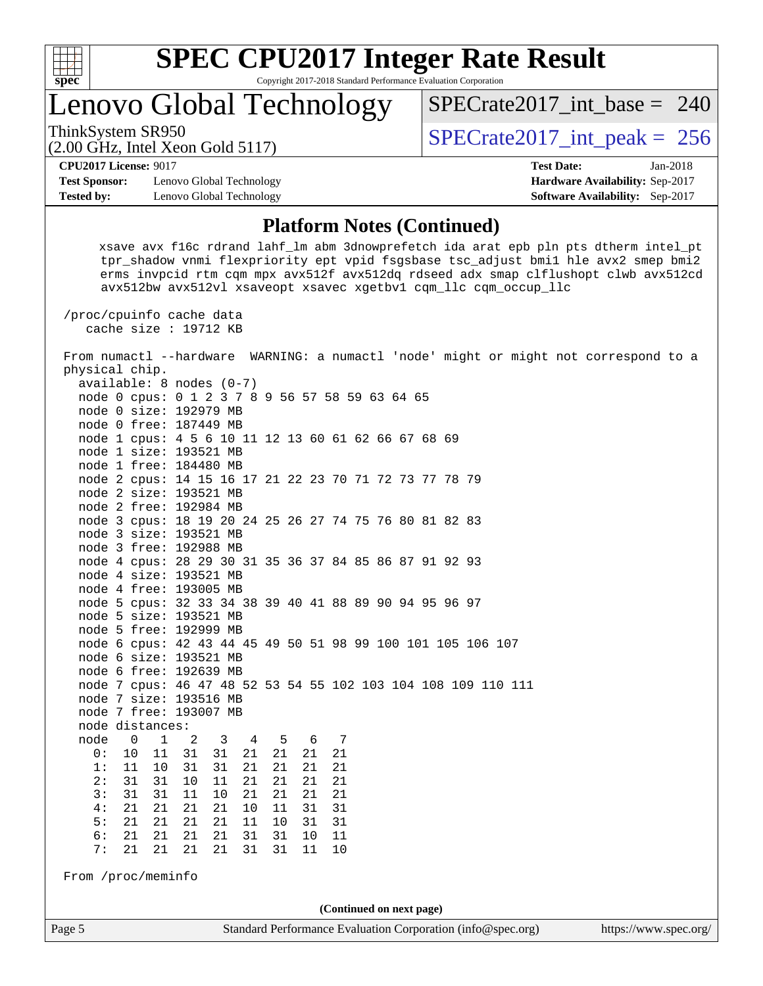

Copyright 2017-2018 Standard Performance Evaluation Corporation

Lenovo Global Technology

ThinkSystem SR950<br>  $\angle (3.00 \text{ GHz. Intel Yeson Gold 5117})$   $SPECTate2017\_int\_peak = 256$ 

 $SPECrate2017\_int\_base = 240$ 

(2.00 GHz, Intel Xeon Gold 5117) **[CPU2017 License:](http://www.spec.org/auto/cpu2017/Docs/result-fields.html#CPU2017License)** 9017 **[Test Date:](http://www.spec.org/auto/cpu2017/Docs/result-fields.html#TestDate)** Jan-2018

**[Test Sponsor:](http://www.spec.org/auto/cpu2017/Docs/result-fields.html#TestSponsor)** Lenovo Global Technology **[Hardware Availability:](http://www.spec.org/auto/cpu2017/Docs/result-fields.html#HardwareAvailability)** Sep-2017 **[Tested by:](http://www.spec.org/auto/cpu2017/Docs/result-fields.html#Testedby)** Lenovo Global Technology **[Software Availability:](http://www.spec.org/auto/cpu2017/Docs/result-fields.html#SoftwareAvailability)** Sep-2017

#### **[Platform Notes \(Continued\)](http://www.spec.org/auto/cpu2017/Docs/result-fields.html#PlatformNotes)**

 xsave avx f16c rdrand lahf\_lm abm 3dnowprefetch ida arat epb pln pts dtherm intel\_pt tpr\_shadow vnmi flexpriority ept vpid fsgsbase tsc\_adjust bmi1 hle avx2 smep bmi2 erms invpcid rtm cqm mpx avx512f avx512dq rdseed adx smap clflushopt clwb avx512cd avx512bw avx512vl xsaveopt xsavec xgetbv1 cqm\_llc cqm\_occup\_llc

 /proc/cpuinfo cache data cache size : 19712 KB

 From numactl --hardware WARNING: a numactl 'node' might or might not correspond to a physical chip. available: 8 nodes (0-7) node 0 cpus: 0 1 2 3 7 8 9 56 57 58 59 63 64 65 node 0 size: 192979 MB node 0 free: 187449 MB node 1 cpus: 4 5 6 10 11 12 13 60 61 62 66 67 68 69 node 1 size: 193521 MB node 1 free: 184480 MB node 2 cpus: 14 15 16 17 21 22 23 70 71 72 73 77 78 79 node 2 size: 193521 MB node 2 free: 192984 MB node 3 cpus: 18 19 20 24 25 26 27 74 75 76 80 81 82 83 node 3 size: 193521 MB node 3 free: 192988 MB node 4 cpus: 28 29 30 31 35 36 37 84 85 86 87 91 92 93 node 4 size: 193521 MB node 4 free: 193005 MB node 5 cpus: 32 33 34 38 39 40 41 88 89 90 94 95 96 97 node 5 size: 193521 MB node 5 free: 192999 MB node 6 cpus: 42 43 44 45 49 50 51 98 99 100 101 105 106 107 node 6 size: 193521 MB node 6 free: 192639 MB node 7 cpus: 46 47 48 52 53 54 55 102 103 104 108 109 110 111 node 7 size: 193516 MB node 7 free: 193007 MB node distances: node 0 1 2 3 4 5 6 7 0: 10 11 31 31 21 21 21 21 1: 11 10 31 31 21 21 21 21 2: 31 31 10 11 21<br>3: 31 31 11 10 21 21 21 21 4: 21 21 21 21 10 11 31 31

From /proc/meminfo

 5: 21 21 21 21 11 10 31 31 6: 21 21 21 21 31 31 10 11 7: 21 21 21 21 31 31 11 10

**(Continued on next page)**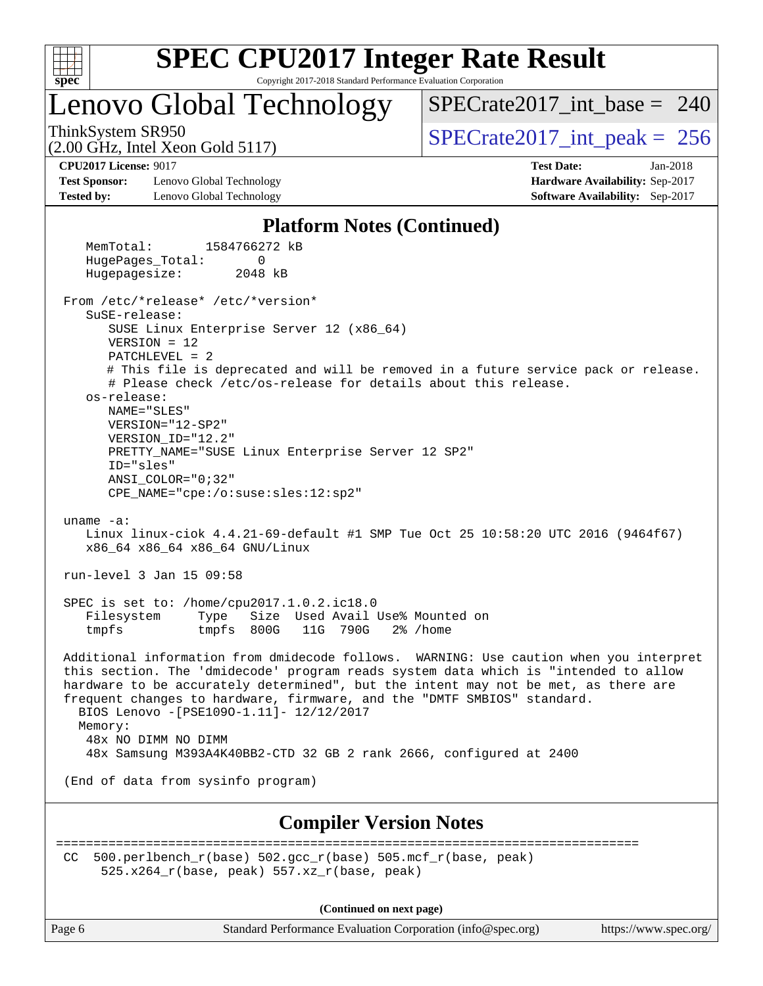

Copyright 2017-2018 Standard Performance Evaluation Corporation

Lenovo Global Technology

 $SPECrate2017\_int\_base = 240$ 

(2.00 GHz, Intel Xeon Gold 5117)

ThinkSystem SR950<br>  $\angle Q$  00 GHz, Intel Year Gold 5117

**[Test Sponsor:](http://www.spec.org/auto/cpu2017/Docs/result-fields.html#TestSponsor)** Lenovo Global Technology **[Hardware Availability:](http://www.spec.org/auto/cpu2017/Docs/result-fields.html#HardwareAvailability)** Sep-2017 **[Tested by:](http://www.spec.org/auto/cpu2017/Docs/result-fields.html#Testedby)** Lenovo Global Technology **[Software Availability:](http://www.spec.org/auto/cpu2017/Docs/result-fields.html#SoftwareAvailability)** Sep-2017

**[CPU2017 License:](http://www.spec.org/auto/cpu2017/Docs/result-fields.html#CPU2017License)** 9017 **[Test Date:](http://www.spec.org/auto/cpu2017/Docs/result-fields.html#TestDate)** Jan-2018

#### **[Platform Notes \(Continued\)](http://www.spec.org/auto/cpu2017/Docs/result-fields.html#PlatformNotes)**

 MemTotal: 1584766272 kB HugePages\_Total: 0 Hugepagesize: 2048 kB From /etc/\*release\* /etc/\*version\* SuSE-release: SUSE Linux Enterprise Server 12 (x86\_64) VERSION = 12 PATCHLEVEL = 2 # This file is deprecated and will be removed in a future service pack or release. # Please check /etc/os-release for details about this release. os-release: NAME="SLES" VERSION="12-SP2" VERSION\_ID="12.2" PRETTY\_NAME="SUSE Linux Enterprise Server 12 SP2" ID="sles" ANSI\_COLOR="0;32" CPE\_NAME="cpe:/o:suse:sles:12:sp2" uname -a: Linux linux-ciok 4.4.21-69-default #1 SMP Tue Oct 25 10:58:20 UTC 2016 (9464f67) x86\_64 x86\_64 x86\_64 GNU/Linux run-level 3 Jan 15 09:58 SPEC is set to: /home/cpu2017.1.0.2.ic18.0 Filesystem Type Size Used Avail Use% Mounted on tmpfs tmpfs 800G 11G 790G 2% /home Additional information from dmidecode follows. WARNING: Use caution when you interpret this section. The 'dmidecode' program reads system data which is "intended to allow hardware to be accurately determined", but the intent may not be met, as there are frequent changes to hardware, firmware, and the "DMTF SMBIOS" standard. BIOS Lenovo -[PSE109O-1.11]- 12/12/2017 Memory: 48x NO DIMM NO DIMM 48x Samsung M393A4K40BB2-CTD 32 GB 2 rank 2666, configured at 2400 (End of data from sysinfo program) **[Compiler Version Notes](http://www.spec.org/auto/cpu2017/Docs/result-fields.html#CompilerVersionNotes)** ============================================================================== CC 500.perlbench  $r(base)$  502.gcc  $r(base)$  505.mcf  $r(base, peak)$ 525.x264 $r(base, peak)$  557.xz $r(base, peak)$ 

**(Continued on next page)**

Page 6 Standard Performance Evaluation Corporation [\(info@spec.org\)](mailto:info@spec.org) <https://www.spec.org/>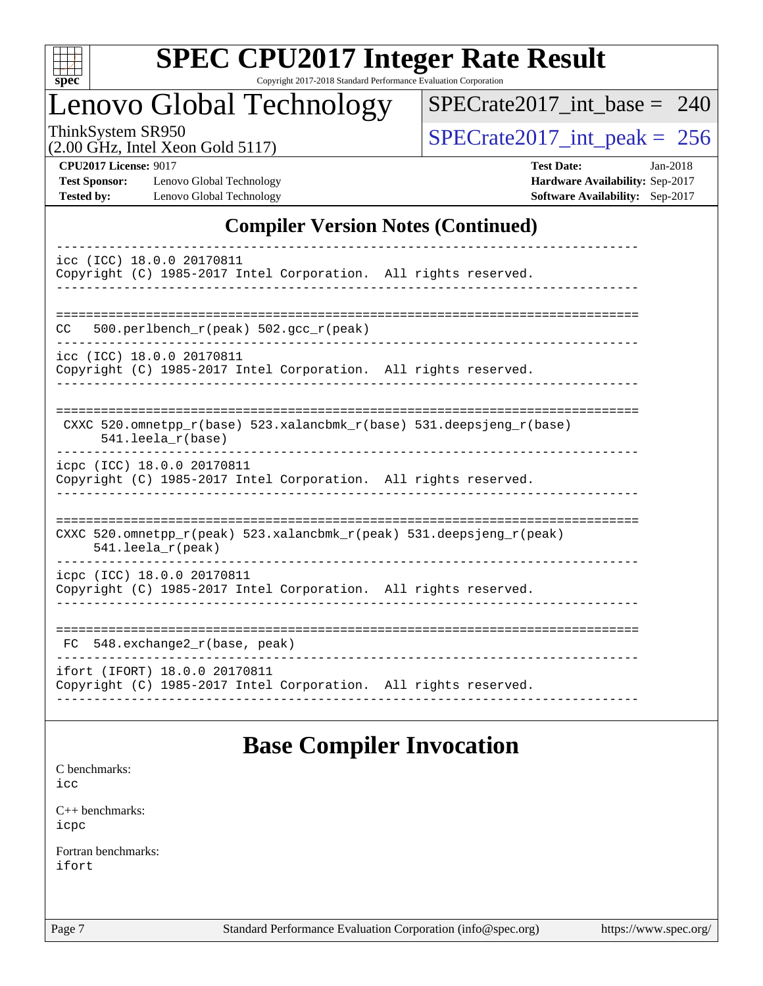

Copyright 2017-2018 Standard Performance Evaluation Corporation

### Lenovo Global Technology

[SPECrate2017\\_int\\_base =](http://www.spec.org/auto/cpu2017/Docs/result-fields.html#SPECrate2017intbase) 240

(2.00 GHz, Intel Xeon Gold 5117)

ThinkSystem SR950<br>(2.00 GHz, Intel Xeon Gold 5117) [SPECrate2017\\_int\\_peak =](http://www.spec.org/auto/cpu2017/Docs/result-fields.html#SPECrate2017intpeak) 256

**[Test Sponsor:](http://www.spec.org/auto/cpu2017/Docs/result-fields.html#TestSponsor)** Lenovo Global Technology **[Hardware Availability:](http://www.spec.org/auto/cpu2017/Docs/result-fields.html#HardwareAvailability)** Sep-2017 **[Tested by:](http://www.spec.org/auto/cpu2017/Docs/result-fields.html#Testedby)** Lenovo Global Technology **[Software Availability:](http://www.spec.org/auto/cpu2017/Docs/result-fields.html#SoftwareAvailability)** Sep-2017

**[CPU2017 License:](http://www.spec.org/auto/cpu2017/Docs/result-fields.html#CPU2017License)** 9017 **[Test Date:](http://www.spec.org/auto/cpu2017/Docs/result-fields.html#TestDate)** Jan-2018

### **[Compiler Version Notes \(Continued\)](http://www.spec.org/auto/cpu2017/Docs/result-fields.html#CompilerVersionNotes)**

| icc (ICC) 18.0.0 20170811<br>Copyright (C) 1985-2017 Intel Corporation. All rights reserved.                            |
|-------------------------------------------------------------------------------------------------------------------------|
| 500.perlbench_r(peak) 502.gcc_r(peak)<br>CC.<br>icc (ICC) 18.0.0 20170811                                               |
| Copyright (C) 1985-2017 Intel Corporation. All rights reserved.                                                         |
| CXXC $520.\text{omnetpp_r(base)}$ $523.\text{xalancbmk_r(base)}$ $531.\text{deepsjeng_r(base)}$<br>$541.$ leela_r(base) |
| icpc (ICC) 18.0.0 20170811<br>Copyright (C) 1985-2017 Intel Corporation. All rights reserved.                           |
| CXXC 520.omnetpp_r(peak) 523.xalancbmk_r(peak) 531.deepsjeng_r(peak)<br>541.leela_r(peak)                               |
| icpc (ICC) 18.0.0 20170811<br>Copyright (C) 1985-2017 Intel Corporation. All rights reserved.                           |
| 548.exchange2_r(base, peak)<br>FC.                                                                                      |
| ifort (IFORT) 18.0.0 20170811<br>Copyright (C) 1985-2017 Intel Corporation. All rights reserved.                        |

### **[Base Compiler Invocation](http://www.spec.org/auto/cpu2017/Docs/result-fields.html#BaseCompilerInvocation)**

[C benchmarks](http://www.spec.org/auto/cpu2017/Docs/result-fields.html#Cbenchmarks):

[icc](http://www.spec.org/cpu2017/results/res2018q1/cpu2017-20180122-02747.flags.html#user_CCbase_intel_icc_18.0_66fc1ee009f7361af1fbd72ca7dcefbb700085f36577c54f309893dd4ec40d12360134090235512931783d35fd58c0460139e722d5067c5574d8eaf2b3e37e92)

[C++ benchmarks:](http://www.spec.org/auto/cpu2017/Docs/result-fields.html#CXXbenchmarks) [icpc](http://www.spec.org/cpu2017/results/res2018q1/cpu2017-20180122-02747.flags.html#user_CXXbase_intel_icpc_18.0_c510b6838c7f56d33e37e94d029a35b4a7bccf4766a728ee175e80a419847e808290a9b78be685c44ab727ea267ec2f070ec5dc83b407c0218cded6866a35d07)

[Fortran benchmarks](http://www.spec.org/auto/cpu2017/Docs/result-fields.html#Fortranbenchmarks): [ifort](http://www.spec.org/cpu2017/results/res2018q1/cpu2017-20180122-02747.flags.html#user_FCbase_intel_ifort_18.0_8111460550e3ca792625aed983ce982f94888b8b503583aa7ba2b8303487b4d8a21a13e7191a45c5fd58ff318f48f9492884d4413fa793fd88dd292cad7027ca)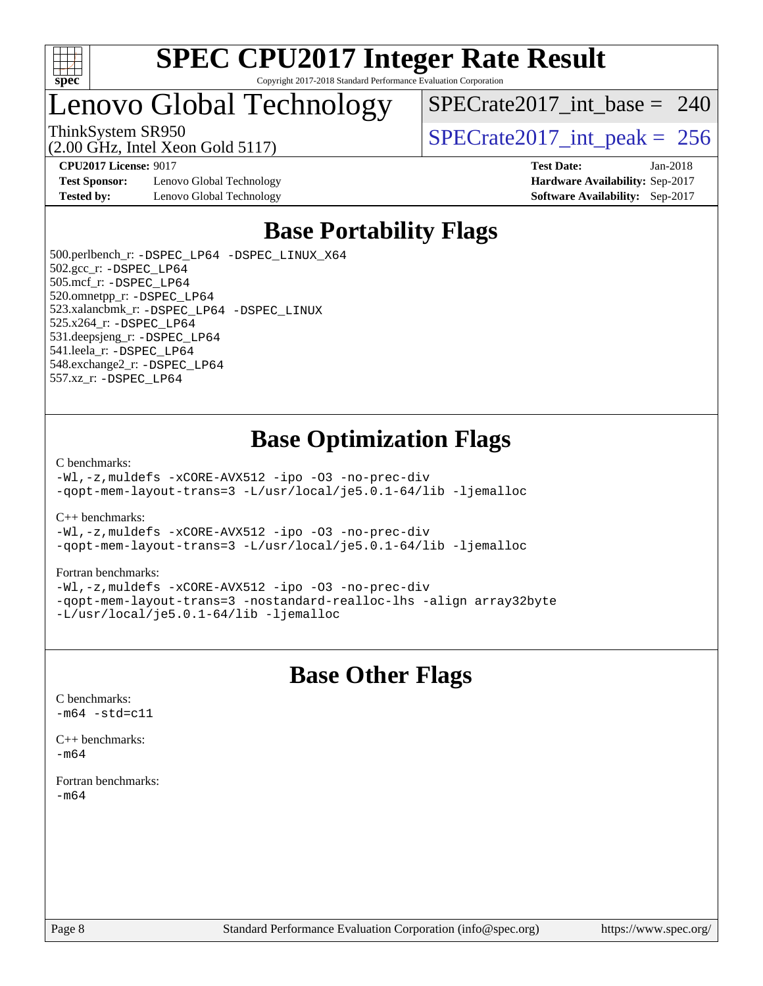

#### **[SPEC CPU2017 Integer Rate Result](http://www.spec.org/auto/cpu2017/Docs/result-fields.html#SPECCPU2017IntegerRateResult)** Copyright 2017-2018 Standard Performance Evaluation Corporation

### Lenovo Global Technology

 $SPECrate2017\_int\_base = 240$ 

(2.00 GHz, Intel Xeon Gold 5117)

ThinkSystem SR950<br>  $\overline{SPEC}$ rate2017\_int\_peak = 256

**[Test Sponsor:](http://www.spec.org/auto/cpu2017/Docs/result-fields.html#TestSponsor)** Lenovo Global Technology **[Hardware Availability:](http://www.spec.org/auto/cpu2017/Docs/result-fields.html#HardwareAvailability)** Sep-2017 **[Tested by:](http://www.spec.org/auto/cpu2017/Docs/result-fields.html#Testedby)** Lenovo Global Technology **[Software Availability:](http://www.spec.org/auto/cpu2017/Docs/result-fields.html#SoftwareAvailability)** Sep-2017

**[CPU2017 License:](http://www.spec.org/auto/cpu2017/Docs/result-fields.html#CPU2017License)** 9017 **[Test Date:](http://www.spec.org/auto/cpu2017/Docs/result-fields.html#TestDate)** Jan-2018

### **[Base Portability Flags](http://www.spec.org/auto/cpu2017/Docs/result-fields.html#BasePortabilityFlags)**

 500.perlbench\_r: [-DSPEC\\_LP64](http://www.spec.org/cpu2017/results/res2018q1/cpu2017-20180122-02747.flags.html#b500.perlbench_r_basePORTABILITY_DSPEC_LP64) [-DSPEC\\_LINUX\\_X64](http://www.spec.org/cpu2017/results/res2018q1/cpu2017-20180122-02747.flags.html#b500.perlbench_r_baseCPORTABILITY_DSPEC_LINUX_X64) 502.gcc\_r: [-DSPEC\\_LP64](http://www.spec.org/cpu2017/results/res2018q1/cpu2017-20180122-02747.flags.html#suite_basePORTABILITY502_gcc_r_DSPEC_LP64) 505.mcf\_r: [-DSPEC\\_LP64](http://www.spec.org/cpu2017/results/res2018q1/cpu2017-20180122-02747.flags.html#suite_basePORTABILITY505_mcf_r_DSPEC_LP64) 520.omnetpp\_r: [-DSPEC\\_LP64](http://www.spec.org/cpu2017/results/res2018q1/cpu2017-20180122-02747.flags.html#suite_basePORTABILITY520_omnetpp_r_DSPEC_LP64) 523.xalancbmk\_r: [-DSPEC\\_LP64](http://www.spec.org/cpu2017/results/res2018q1/cpu2017-20180122-02747.flags.html#suite_basePORTABILITY523_xalancbmk_r_DSPEC_LP64) [-DSPEC\\_LINUX](http://www.spec.org/cpu2017/results/res2018q1/cpu2017-20180122-02747.flags.html#b523.xalancbmk_r_baseCXXPORTABILITY_DSPEC_LINUX) 525.x264\_r: [-DSPEC\\_LP64](http://www.spec.org/cpu2017/results/res2018q1/cpu2017-20180122-02747.flags.html#suite_basePORTABILITY525_x264_r_DSPEC_LP64) 531.deepsjeng\_r: [-DSPEC\\_LP64](http://www.spec.org/cpu2017/results/res2018q1/cpu2017-20180122-02747.flags.html#suite_basePORTABILITY531_deepsjeng_r_DSPEC_LP64) 541.leela\_r: [-DSPEC\\_LP64](http://www.spec.org/cpu2017/results/res2018q1/cpu2017-20180122-02747.flags.html#suite_basePORTABILITY541_leela_r_DSPEC_LP64) 548.exchange2\_r: [-DSPEC\\_LP64](http://www.spec.org/cpu2017/results/res2018q1/cpu2017-20180122-02747.flags.html#suite_basePORTABILITY548_exchange2_r_DSPEC_LP64) 557.xz\_r: [-DSPEC\\_LP64](http://www.spec.org/cpu2017/results/res2018q1/cpu2017-20180122-02747.flags.html#suite_basePORTABILITY557_xz_r_DSPEC_LP64)

### **[Base Optimization Flags](http://www.spec.org/auto/cpu2017/Docs/result-fields.html#BaseOptimizationFlags)**

[C benchmarks](http://www.spec.org/auto/cpu2017/Docs/result-fields.html#Cbenchmarks):

[-Wl,-z,muldefs](http://www.spec.org/cpu2017/results/res2018q1/cpu2017-20180122-02747.flags.html#user_CCbase_link_force_multiple1_b4cbdb97b34bdee9ceefcfe54f4c8ea74255f0b02a4b23e853cdb0e18eb4525ac79b5a88067c842dd0ee6996c24547a27a4b99331201badda8798ef8a743f577) [-xCORE-AVX512](http://www.spec.org/cpu2017/results/res2018q1/cpu2017-20180122-02747.flags.html#user_CCbase_f-xCORE-AVX512) [-ipo](http://www.spec.org/cpu2017/results/res2018q1/cpu2017-20180122-02747.flags.html#user_CCbase_f-ipo) [-O3](http://www.spec.org/cpu2017/results/res2018q1/cpu2017-20180122-02747.flags.html#user_CCbase_f-O3) [-no-prec-div](http://www.spec.org/cpu2017/results/res2018q1/cpu2017-20180122-02747.flags.html#user_CCbase_f-no-prec-div) [-qopt-mem-layout-trans=3](http://www.spec.org/cpu2017/results/res2018q1/cpu2017-20180122-02747.flags.html#user_CCbase_f-qopt-mem-layout-trans_de80db37974c74b1f0e20d883f0b675c88c3b01e9d123adea9b28688d64333345fb62bc4a798493513fdb68f60282f9a726aa07f478b2f7113531aecce732043) [-L/usr/local/je5.0.1-64/lib](http://www.spec.org/cpu2017/results/res2018q1/cpu2017-20180122-02747.flags.html#user_CCbase_jemalloc_link_path64_4b10a636b7bce113509b17f3bd0d6226c5fb2346b9178c2d0232c14f04ab830f976640479e5c33dc2bcbbdad86ecfb6634cbbd4418746f06f368b512fced5394) [-ljemalloc](http://www.spec.org/cpu2017/results/res2018q1/cpu2017-20180122-02747.flags.html#user_CCbase_jemalloc_link_lib_d1249b907c500fa1c0672f44f562e3d0f79738ae9e3c4a9c376d49f265a04b9c99b167ecedbf6711b3085be911c67ff61f150a17b3472be731631ba4d0471706)

[C++ benchmarks:](http://www.spec.org/auto/cpu2017/Docs/result-fields.html#CXXbenchmarks)

[-Wl,-z,muldefs](http://www.spec.org/cpu2017/results/res2018q1/cpu2017-20180122-02747.flags.html#user_CXXbase_link_force_multiple1_b4cbdb97b34bdee9ceefcfe54f4c8ea74255f0b02a4b23e853cdb0e18eb4525ac79b5a88067c842dd0ee6996c24547a27a4b99331201badda8798ef8a743f577) [-xCORE-AVX512](http://www.spec.org/cpu2017/results/res2018q1/cpu2017-20180122-02747.flags.html#user_CXXbase_f-xCORE-AVX512) [-ipo](http://www.spec.org/cpu2017/results/res2018q1/cpu2017-20180122-02747.flags.html#user_CXXbase_f-ipo) [-O3](http://www.spec.org/cpu2017/results/res2018q1/cpu2017-20180122-02747.flags.html#user_CXXbase_f-O3) [-no-prec-div](http://www.spec.org/cpu2017/results/res2018q1/cpu2017-20180122-02747.flags.html#user_CXXbase_f-no-prec-div) [-qopt-mem-layout-trans=3](http://www.spec.org/cpu2017/results/res2018q1/cpu2017-20180122-02747.flags.html#user_CXXbase_f-qopt-mem-layout-trans_de80db37974c74b1f0e20d883f0b675c88c3b01e9d123adea9b28688d64333345fb62bc4a798493513fdb68f60282f9a726aa07f478b2f7113531aecce732043) [-L/usr/local/je5.0.1-64/lib](http://www.spec.org/cpu2017/results/res2018q1/cpu2017-20180122-02747.flags.html#user_CXXbase_jemalloc_link_path64_4b10a636b7bce113509b17f3bd0d6226c5fb2346b9178c2d0232c14f04ab830f976640479e5c33dc2bcbbdad86ecfb6634cbbd4418746f06f368b512fced5394) [-ljemalloc](http://www.spec.org/cpu2017/results/res2018q1/cpu2017-20180122-02747.flags.html#user_CXXbase_jemalloc_link_lib_d1249b907c500fa1c0672f44f562e3d0f79738ae9e3c4a9c376d49f265a04b9c99b167ecedbf6711b3085be911c67ff61f150a17b3472be731631ba4d0471706)

#### [Fortran benchmarks](http://www.spec.org/auto/cpu2017/Docs/result-fields.html#Fortranbenchmarks):

[-Wl,-z,muldefs](http://www.spec.org/cpu2017/results/res2018q1/cpu2017-20180122-02747.flags.html#user_FCbase_link_force_multiple1_b4cbdb97b34bdee9ceefcfe54f4c8ea74255f0b02a4b23e853cdb0e18eb4525ac79b5a88067c842dd0ee6996c24547a27a4b99331201badda8798ef8a743f577) [-xCORE-AVX512](http://www.spec.org/cpu2017/results/res2018q1/cpu2017-20180122-02747.flags.html#user_FCbase_f-xCORE-AVX512) [-ipo](http://www.spec.org/cpu2017/results/res2018q1/cpu2017-20180122-02747.flags.html#user_FCbase_f-ipo) [-O3](http://www.spec.org/cpu2017/results/res2018q1/cpu2017-20180122-02747.flags.html#user_FCbase_f-O3) [-no-prec-div](http://www.spec.org/cpu2017/results/res2018q1/cpu2017-20180122-02747.flags.html#user_FCbase_f-no-prec-div) [-qopt-mem-layout-trans=3](http://www.spec.org/cpu2017/results/res2018q1/cpu2017-20180122-02747.flags.html#user_FCbase_f-qopt-mem-layout-trans_de80db37974c74b1f0e20d883f0b675c88c3b01e9d123adea9b28688d64333345fb62bc4a798493513fdb68f60282f9a726aa07f478b2f7113531aecce732043) [-nostandard-realloc-lhs](http://www.spec.org/cpu2017/results/res2018q1/cpu2017-20180122-02747.flags.html#user_FCbase_f_2003_std_realloc_82b4557e90729c0f113870c07e44d33d6f5a304b4f63d4c15d2d0f1fab99f5daaed73bdb9275d9ae411527f28b936061aa8b9c8f2d63842963b95c9dd6426b8a) [-align array32byte](http://www.spec.org/cpu2017/results/res2018q1/cpu2017-20180122-02747.flags.html#user_FCbase_align_array32byte_b982fe038af199962ba9a80c053b8342c548c85b40b8e86eb3cc33dee0d7986a4af373ac2d51c3f7cf710a18d62fdce2948f201cd044323541f22fc0fffc51b6) [-L/usr/local/je5.0.1-64/lib](http://www.spec.org/cpu2017/results/res2018q1/cpu2017-20180122-02747.flags.html#user_FCbase_jemalloc_link_path64_4b10a636b7bce113509b17f3bd0d6226c5fb2346b9178c2d0232c14f04ab830f976640479e5c33dc2bcbbdad86ecfb6634cbbd4418746f06f368b512fced5394) [-ljemalloc](http://www.spec.org/cpu2017/results/res2018q1/cpu2017-20180122-02747.flags.html#user_FCbase_jemalloc_link_lib_d1249b907c500fa1c0672f44f562e3d0f79738ae9e3c4a9c376d49f265a04b9c99b167ecedbf6711b3085be911c67ff61f150a17b3472be731631ba4d0471706)

### **[Base Other Flags](http://www.spec.org/auto/cpu2017/Docs/result-fields.html#BaseOtherFlags)**

[C benchmarks](http://www.spec.org/auto/cpu2017/Docs/result-fields.html#Cbenchmarks):  $-m64 - std= c11$  $-m64 - std= c11$ 

[C++ benchmarks:](http://www.spec.org/auto/cpu2017/Docs/result-fields.html#CXXbenchmarks)  $-m64$ 

[Fortran benchmarks](http://www.spec.org/auto/cpu2017/Docs/result-fields.html#Fortranbenchmarks): [-m64](http://www.spec.org/cpu2017/results/res2018q1/cpu2017-20180122-02747.flags.html#user_FCbase_intel_intel64_18.0_af43caccfc8ded86e7699f2159af6efc7655f51387b94da716254467f3c01020a5059329e2569e4053f409e7c9202a7efc638f7a6d1ffb3f52dea4a3e31d82ab)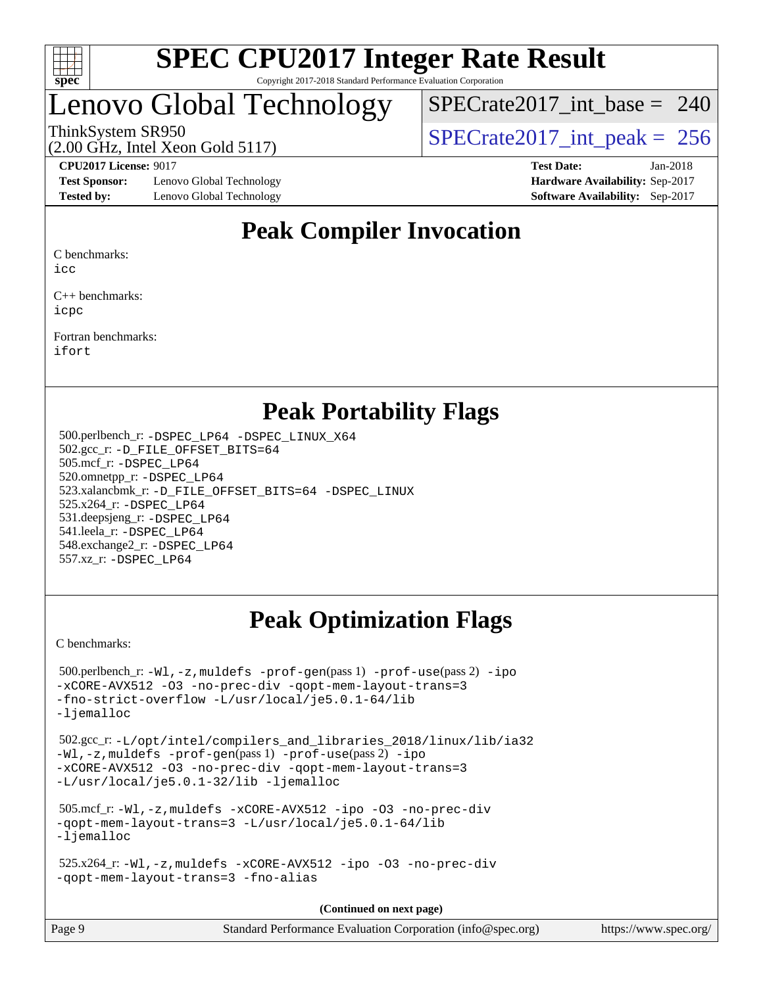

#### **[SPEC CPU2017 Integer Rate Result](http://www.spec.org/auto/cpu2017/Docs/result-fields.html#SPECCPU2017IntegerRateResult)** Copyright 2017-2018 Standard Performance Evaluation Corporation

### Lenovo Global Technology

 $SPECrate2017\_int\_base = 240$ 

(2.00 GHz, Intel Xeon Gold 5117)

ThinkSystem SR950<br>  $\angle Q$  00 GHz, Intel Year Gold 5117

**[Test Sponsor:](http://www.spec.org/auto/cpu2017/Docs/result-fields.html#TestSponsor)** Lenovo Global Technology **[Hardware Availability:](http://www.spec.org/auto/cpu2017/Docs/result-fields.html#HardwareAvailability)** Sep-2017 **[Tested by:](http://www.spec.org/auto/cpu2017/Docs/result-fields.html#Testedby)** Lenovo Global Technology **[Software Availability:](http://www.spec.org/auto/cpu2017/Docs/result-fields.html#SoftwareAvailability)** Sep-2017

**[CPU2017 License:](http://www.spec.org/auto/cpu2017/Docs/result-fields.html#CPU2017License)** 9017 **[Test Date:](http://www.spec.org/auto/cpu2017/Docs/result-fields.html#TestDate)** Jan-2018

### **[Peak Compiler Invocation](http://www.spec.org/auto/cpu2017/Docs/result-fields.html#PeakCompilerInvocation)**

[C benchmarks:](http://www.spec.org/auto/cpu2017/Docs/result-fields.html#Cbenchmarks)

[icc](http://www.spec.org/cpu2017/results/res2018q1/cpu2017-20180122-02747.flags.html#user_CCpeak_intel_icc_18.0_66fc1ee009f7361af1fbd72ca7dcefbb700085f36577c54f309893dd4ec40d12360134090235512931783d35fd58c0460139e722d5067c5574d8eaf2b3e37e92)

[C++ benchmarks:](http://www.spec.org/auto/cpu2017/Docs/result-fields.html#CXXbenchmarks) [icpc](http://www.spec.org/cpu2017/results/res2018q1/cpu2017-20180122-02747.flags.html#user_CXXpeak_intel_icpc_18.0_c510b6838c7f56d33e37e94d029a35b4a7bccf4766a728ee175e80a419847e808290a9b78be685c44ab727ea267ec2f070ec5dc83b407c0218cded6866a35d07)

[Fortran benchmarks](http://www.spec.org/auto/cpu2017/Docs/result-fields.html#Fortranbenchmarks): [ifort](http://www.spec.org/cpu2017/results/res2018q1/cpu2017-20180122-02747.flags.html#user_FCpeak_intel_ifort_18.0_8111460550e3ca792625aed983ce982f94888b8b503583aa7ba2b8303487b4d8a21a13e7191a45c5fd58ff318f48f9492884d4413fa793fd88dd292cad7027ca)

### **[Peak Portability Flags](http://www.spec.org/auto/cpu2017/Docs/result-fields.html#PeakPortabilityFlags)**

 500.perlbench\_r: [-DSPEC\\_LP64](http://www.spec.org/cpu2017/results/res2018q1/cpu2017-20180122-02747.flags.html#b500.perlbench_r_peakPORTABILITY_DSPEC_LP64) [-DSPEC\\_LINUX\\_X64](http://www.spec.org/cpu2017/results/res2018q1/cpu2017-20180122-02747.flags.html#b500.perlbench_r_peakCPORTABILITY_DSPEC_LINUX_X64) 502.gcc\_r: [-D\\_FILE\\_OFFSET\\_BITS=64](http://www.spec.org/cpu2017/results/res2018q1/cpu2017-20180122-02747.flags.html#user_peakPORTABILITY502_gcc_r_file_offset_bits_64_5ae949a99b284ddf4e95728d47cb0843d81b2eb0e18bdfe74bbf0f61d0b064f4bda2f10ea5eb90e1dcab0e84dbc592acfc5018bc955c18609f94ddb8d550002c) 505.mcf\_r: [-DSPEC\\_LP64](http://www.spec.org/cpu2017/results/res2018q1/cpu2017-20180122-02747.flags.html#suite_peakPORTABILITY505_mcf_r_DSPEC_LP64) 520.omnetpp\_r: [-DSPEC\\_LP64](http://www.spec.org/cpu2017/results/res2018q1/cpu2017-20180122-02747.flags.html#suite_peakPORTABILITY520_omnetpp_r_DSPEC_LP64) 523.xalancbmk\_r: [-D\\_FILE\\_OFFSET\\_BITS=64](http://www.spec.org/cpu2017/results/res2018q1/cpu2017-20180122-02747.flags.html#user_peakPORTABILITY523_xalancbmk_r_file_offset_bits_64_5ae949a99b284ddf4e95728d47cb0843d81b2eb0e18bdfe74bbf0f61d0b064f4bda2f10ea5eb90e1dcab0e84dbc592acfc5018bc955c18609f94ddb8d550002c) [-DSPEC\\_LINUX](http://www.spec.org/cpu2017/results/res2018q1/cpu2017-20180122-02747.flags.html#b523.xalancbmk_r_peakCXXPORTABILITY_DSPEC_LINUX) 525.x264\_r: [-DSPEC\\_LP64](http://www.spec.org/cpu2017/results/res2018q1/cpu2017-20180122-02747.flags.html#suite_peakPORTABILITY525_x264_r_DSPEC_LP64) 531.deepsjeng\_r: [-DSPEC\\_LP64](http://www.spec.org/cpu2017/results/res2018q1/cpu2017-20180122-02747.flags.html#suite_peakPORTABILITY531_deepsjeng_r_DSPEC_LP64) 541.leela\_r: [-DSPEC\\_LP64](http://www.spec.org/cpu2017/results/res2018q1/cpu2017-20180122-02747.flags.html#suite_peakPORTABILITY541_leela_r_DSPEC_LP64) 548.exchange2\_r: [-DSPEC\\_LP64](http://www.spec.org/cpu2017/results/res2018q1/cpu2017-20180122-02747.flags.html#suite_peakPORTABILITY548_exchange2_r_DSPEC_LP64) 557.xz\_r: [-DSPEC\\_LP64](http://www.spec.org/cpu2017/results/res2018q1/cpu2017-20180122-02747.flags.html#suite_peakPORTABILITY557_xz_r_DSPEC_LP64)

### **[Peak Optimization Flags](http://www.spec.org/auto/cpu2017/Docs/result-fields.html#PeakOptimizationFlags)**

[C benchmarks](http://www.spec.org/auto/cpu2017/Docs/result-fields.html#Cbenchmarks):

```
 500.perlbench_r: -Wl,-z,muldefs -prof-gen(pass 1) -prof-use(pass 2) -ipo
-xCORE-AVX512 -O3 -no-prec-div -qopt-mem-layout-trans=3
-fno-strict-overflow -L/usr/local/je5.0.1-64/lib
-ljemalloc
 502.gcc_r: -L/opt/intel/compilers_and_libraries_2018/linux/lib/ia32
-Wl,-z,muldefs -prof-gen(pass 1) -prof-use(pass 2) -ipo
-xCORE-AVX512 -O3 -no-prec-div -qopt-mem-layout-trans=3
-L/usr/local/je5.0.1-32/lib -ljemalloc
 505.mcf_r: -Wl,-z,muldefs -xCORE-AVX512 -ipo -O3 -no-prec-div
-qopt-mem-layout-trans=3 -L/usr/local/je5.0.1-64/lib
-ljemalloc
 525.x264_r: -Wl,-z,muldefs -xCORE-AVX512 -ipo -O3 -no-prec-div
-qopt-mem-layout-trans=3 -fno-alias
                                     (Continued on next page)
```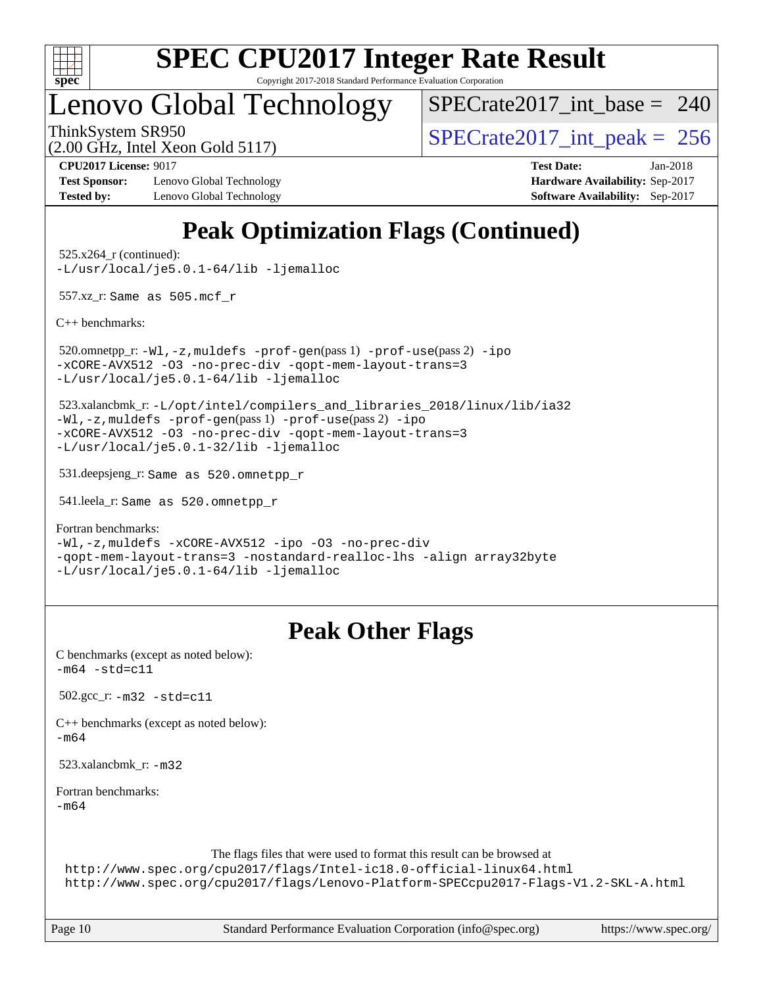

Copyright 2017-2018 Standard Performance Evaluation Corporation

### Lenovo Global Technology

 $SPECrate2017\_int\_base = 240$ 

(2.00 GHz, Intel Xeon Gold 5117)

ThinkSystem SR950<br>  $\overline{SPEC}$ rate2017\_int\_peak = 256

**[Test Sponsor:](http://www.spec.org/auto/cpu2017/Docs/result-fields.html#TestSponsor)** Lenovo Global Technology **[Hardware Availability:](http://www.spec.org/auto/cpu2017/Docs/result-fields.html#HardwareAvailability)** Sep-2017 **[Tested by:](http://www.spec.org/auto/cpu2017/Docs/result-fields.html#Testedby)** Lenovo Global Technology **[Software Availability:](http://www.spec.org/auto/cpu2017/Docs/result-fields.html#SoftwareAvailability)** Sep-2017

**[CPU2017 License:](http://www.spec.org/auto/cpu2017/Docs/result-fields.html#CPU2017License)** 9017 **[Test Date:](http://www.spec.org/auto/cpu2017/Docs/result-fields.html#TestDate)** Jan-2018

### **[Peak Optimization Flags \(Continued\)](http://www.spec.org/auto/cpu2017/Docs/result-fields.html#PeakOptimizationFlags)**

 525.x264\_r (continued): [-L/usr/local/je5.0.1-64/lib](http://www.spec.org/cpu2017/results/res2018q1/cpu2017-20180122-02747.flags.html#user_peakEXTRA_LIBS525_x264_r_jemalloc_link_path64_4b10a636b7bce113509b17f3bd0d6226c5fb2346b9178c2d0232c14f04ab830f976640479e5c33dc2bcbbdad86ecfb6634cbbd4418746f06f368b512fced5394) [-ljemalloc](http://www.spec.org/cpu2017/results/res2018q1/cpu2017-20180122-02747.flags.html#user_peakEXTRA_LIBS525_x264_r_jemalloc_link_lib_d1249b907c500fa1c0672f44f562e3d0f79738ae9e3c4a9c376d49f265a04b9c99b167ecedbf6711b3085be911c67ff61f150a17b3472be731631ba4d0471706)

557.xz\_r: Same as 505.mcf\_r

[C++ benchmarks:](http://www.spec.org/auto/cpu2017/Docs/result-fields.html#CXXbenchmarks)

 520.omnetpp\_r: [-Wl,-z,muldefs](http://www.spec.org/cpu2017/results/res2018q1/cpu2017-20180122-02747.flags.html#user_peakEXTRA_LDFLAGS520_omnetpp_r_link_force_multiple1_b4cbdb97b34bdee9ceefcfe54f4c8ea74255f0b02a4b23e853cdb0e18eb4525ac79b5a88067c842dd0ee6996c24547a27a4b99331201badda8798ef8a743f577) [-prof-gen](http://www.spec.org/cpu2017/results/res2018q1/cpu2017-20180122-02747.flags.html#user_peakPASS1_CXXFLAGSPASS1_LDFLAGS520_omnetpp_r_prof_gen_5aa4926d6013ddb2a31985c654b3eb18169fc0c6952a63635c234f711e6e63dd76e94ad52365559451ec499a2cdb89e4dc58ba4c67ef54ca681ffbe1461d6b36)(pass 1) [-prof-use](http://www.spec.org/cpu2017/results/res2018q1/cpu2017-20180122-02747.flags.html#user_peakPASS2_CXXFLAGSPASS2_LDFLAGS520_omnetpp_r_prof_use_1a21ceae95f36a2b53c25747139a6c16ca95bd9def2a207b4f0849963b97e94f5260e30a0c64f4bb623698870e679ca08317ef8150905d41bd88c6f78df73f19)(pass 2) [-ipo](http://www.spec.org/cpu2017/results/res2018q1/cpu2017-20180122-02747.flags.html#user_peakPASS1_CXXOPTIMIZEPASS2_CXXOPTIMIZE520_omnetpp_r_f-ipo) [-xCORE-AVX512](http://www.spec.org/cpu2017/results/res2018q1/cpu2017-20180122-02747.flags.html#user_peakPASS2_CXXOPTIMIZE520_omnetpp_r_f-xCORE-AVX512) [-O3](http://www.spec.org/cpu2017/results/res2018q1/cpu2017-20180122-02747.flags.html#user_peakPASS1_CXXOPTIMIZEPASS2_CXXOPTIMIZE520_omnetpp_r_f-O3) [-no-prec-div](http://www.spec.org/cpu2017/results/res2018q1/cpu2017-20180122-02747.flags.html#user_peakPASS1_CXXOPTIMIZEPASS2_CXXOPTIMIZE520_omnetpp_r_f-no-prec-div) [-qopt-mem-layout-trans=3](http://www.spec.org/cpu2017/results/res2018q1/cpu2017-20180122-02747.flags.html#user_peakPASS1_CXXOPTIMIZEPASS2_CXXOPTIMIZE520_omnetpp_r_f-qopt-mem-layout-trans_de80db37974c74b1f0e20d883f0b675c88c3b01e9d123adea9b28688d64333345fb62bc4a798493513fdb68f60282f9a726aa07f478b2f7113531aecce732043) [-L/usr/local/je5.0.1-64/lib](http://www.spec.org/cpu2017/results/res2018q1/cpu2017-20180122-02747.flags.html#user_peakEXTRA_LIBS520_omnetpp_r_jemalloc_link_path64_4b10a636b7bce113509b17f3bd0d6226c5fb2346b9178c2d0232c14f04ab830f976640479e5c33dc2bcbbdad86ecfb6634cbbd4418746f06f368b512fced5394) [-ljemalloc](http://www.spec.org/cpu2017/results/res2018q1/cpu2017-20180122-02747.flags.html#user_peakEXTRA_LIBS520_omnetpp_r_jemalloc_link_lib_d1249b907c500fa1c0672f44f562e3d0f79738ae9e3c4a9c376d49f265a04b9c99b167ecedbf6711b3085be911c67ff61f150a17b3472be731631ba4d0471706)

 523.xalancbmk\_r: [-L/opt/intel/compilers\\_and\\_libraries\\_2018/linux/lib/ia32](http://www.spec.org/cpu2017/results/res2018q1/cpu2017-20180122-02747.flags.html#user_peakCXXLD523_xalancbmk_r_Enable-32bit-runtime_af243bdb1d79e4c7a4f720bf8275e627de2ecd461de63307bc14cef0633fde3cd7bb2facb32dcc8be9566045fb55d40ce2b72b725f73827aa7833441b71b9343) [-Wl,-z,muldefs](http://www.spec.org/cpu2017/results/res2018q1/cpu2017-20180122-02747.flags.html#user_peakEXTRA_LDFLAGS523_xalancbmk_r_link_force_multiple1_b4cbdb97b34bdee9ceefcfe54f4c8ea74255f0b02a4b23e853cdb0e18eb4525ac79b5a88067c842dd0ee6996c24547a27a4b99331201badda8798ef8a743f577) [-prof-gen](http://www.spec.org/cpu2017/results/res2018q1/cpu2017-20180122-02747.flags.html#user_peakPASS1_CXXFLAGSPASS1_LDFLAGS523_xalancbmk_r_prof_gen_5aa4926d6013ddb2a31985c654b3eb18169fc0c6952a63635c234f711e6e63dd76e94ad52365559451ec499a2cdb89e4dc58ba4c67ef54ca681ffbe1461d6b36)(pass 1) [-prof-use](http://www.spec.org/cpu2017/results/res2018q1/cpu2017-20180122-02747.flags.html#user_peakPASS2_CXXFLAGSPASS2_LDFLAGS523_xalancbmk_r_prof_use_1a21ceae95f36a2b53c25747139a6c16ca95bd9def2a207b4f0849963b97e94f5260e30a0c64f4bb623698870e679ca08317ef8150905d41bd88c6f78df73f19)(pass 2) [-ipo](http://www.spec.org/cpu2017/results/res2018q1/cpu2017-20180122-02747.flags.html#user_peakPASS1_CXXOPTIMIZEPASS2_CXXOPTIMIZE523_xalancbmk_r_f-ipo) [-xCORE-AVX512](http://www.spec.org/cpu2017/results/res2018q1/cpu2017-20180122-02747.flags.html#user_peakPASS2_CXXOPTIMIZE523_xalancbmk_r_f-xCORE-AVX512) [-O3](http://www.spec.org/cpu2017/results/res2018q1/cpu2017-20180122-02747.flags.html#user_peakPASS1_CXXOPTIMIZEPASS2_CXXOPTIMIZE523_xalancbmk_r_f-O3) [-no-prec-div](http://www.spec.org/cpu2017/results/res2018q1/cpu2017-20180122-02747.flags.html#user_peakPASS1_CXXOPTIMIZEPASS2_CXXOPTIMIZE523_xalancbmk_r_f-no-prec-div) [-qopt-mem-layout-trans=3](http://www.spec.org/cpu2017/results/res2018q1/cpu2017-20180122-02747.flags.html#user_peakPASS1_CXXOPTIMIZEPASS2_CXXOPTIMIZE523_xalancbmk_r_f-qopt-mem-layout-trans_de80db37974c74b1f0e20d883f0b675c88c3b01e9d123adea9b28688d64333345fb62bc4a798493513fdb68f60282f9a726aa07f478b2f7113531aecce732043) [-L/usr/local/je5.0.1-32/lib](http://www.spec.org/cpu2017/results/res2018q1/cpu2017-20180122-02747.flags.html#user_peakEXTRA_LIBS523_xalancbmk_r_jemalloc_link_path32_e29f22e8e6c17053bbc6a0971f5a9c01a601a06bb1a59df2084b77a2fe0a2995b64fd4256feaeea39eeba3aae142e96e2b2b0a28974019c0c0c88139a84f900a) [-ljemalloc](http://www.spec.org/cpu2017/results/res2018q1/cpu2017-20180122-02747.flags.html#user_peakEXTRA_LIBS523_xalancbmk_r_jemalloc_link_lib_d1249b907c500fa1c0672f44f562e3d0f79738ae9e3c4a9c376d49f265a04b9c99b167ecedbf6711b3085be911c67ff61f150a17b3472be731631ba4d0471706)

531.deepsjeng\_r: Same as 520.omnetpp\_r

541.leela\_r: Same as 520.omnetpp\_r

[Fortran benchmarks](http://www.spec.org/auto/cpu2017/Docs/result-fields.html#Fortranbenchmarks):

[-Wl,-z,muldefs](http://www.spec.org/cpu2017/results/res2018q1/cpu2017-20180122-02747.flags.html#user_FCpeak_link_force_multiple1_b4cbdb97b34bdee9ceefcfe54f4c8ea74255f0b02a4b23e853cdb0e18eb4525ac79b5a88067c842dd0ee6996c24547a27a4b99331201badda8798ef8a743f577) [-xCORE-AVX512](http://www.spec.org/cpu2017/results/res2018q1/cpu2017-20180122-02747.flags.html#user_FCpeak_f-xCORE-AVX512) [-ipo](http://www.spec.org/cpu2017/results/res2018q1/cpu2017-20180122-02747.flags.html#user_FCpeak_f-ipo) [-O3](http://www.spec.org/cpu2017/results/res2018q1/cpu2017-20180122-02747.flags.html#user_FCpeak_f-O3) [-no-prec-div](http://www.spec.org/cpu2017/results/res2018q1/cpu2017-20180122-02747.flags.html#user_FCpeak_f-no-prec-div) [-qopt-mem-layout-trans=3](http://www.spec.org/cpu2017/results/res2018q1/cpu2017-20180122-02747.flags.html#user_FCpeak_f-qopt-mem-layout-trans_de80db37974c74b1f0e20d883f0b675c88c3b01e9d123adea9b28688d64333345fb62bc4a798493513fdb68f60282f9a726aa07f478b2f7113531aecce732043) [-nostandard-realloc-lhs](http://www.spec.org/cpu2017/results/res2018q1/cpu2017-20180122-02747.flags.html#user_FCpeak_f_2003_std_realloc_82b4557e90729c0f113870c07e44d33d6f5a304b4f63d4c15d2d0f1fab99f5daaed73bdb9275d9ae411527f28b936061aa8b9c8f2d63842963b95c9dd6426b8a) [-align array32byte](http://www.spec.org/cpu2017/results/res2018q1/cpu2017-20180122-02747.flags.html#user_FCpeak_align_array32byte_b982fe038af199962ba9a80c053b8342c548c85b40b8e86eb3cc33dee0d7986a4af373ac2d51c3f7cf710a18d62fdce2948f201cd044323541f22fc0fffc51b6) [-L/usr/local/je5.0.1-64/lib](http://www.spec.org/cpu2017/results/res2018q1/cpu2017-20180122-02747.flags.html#user_FCpeak_jemalloc_link_path64_4b10a636b7bce113509b17f3bd0d6226c5fb2346b9178c2d0232c14f04ab830f976640479e5c33dc2bcbbdad86ecfb6634cbbd4418746f06f368b512fced5394) [-ljemalloc](http://www.spec.org/cpu2017/results/res2018q1/cpu2017-20180122-02747.flags.html#user_FCpeak_jemalloc_link_lib_d1249b907c500fa1c0672f44f562e3d0f79738ae9e3c4a9c376d49f265a04b9c99b167ecedbf6711b3085be911c67ff61f150a17b3472be731631ba4d0471706)

### **[Peak Other Flags](http://www.spec.org/auto/cpu2017/Docs/result-fields.html#PeakOtherFlags)**

| C benchmarks (except as noted below):<br>$-m64 - std = c11$                                                                                                                                                                           |
|---------------------------------------------------------------------------------------------------------------------------------------------------------------------------------------------------------------------------------------|
| $502.\text{gcc}_r$ : $-m32 - std = c11$                                                                                                                                                                                               |
| $C++$ benchmarks (except as noted below):<br>$-m64$                                                                                                                                                                                   |
| 523.xalancbmk $r: -m32$                                                                                                                                                                                                               |
| Fortran benchmarks:<br>$-m64$                                                                                                                                                                                                         |
| The flags files that were used to format this result can be browsed at<br>http://www.spec.org/cpu2017/flags/Intel-ic18.0-official-linux64.html<br>http://www.spec.org/cpu2017/flags/Lenovo-Platform-SPECcpu2017-Flags-V1.2-SKL-A.html |